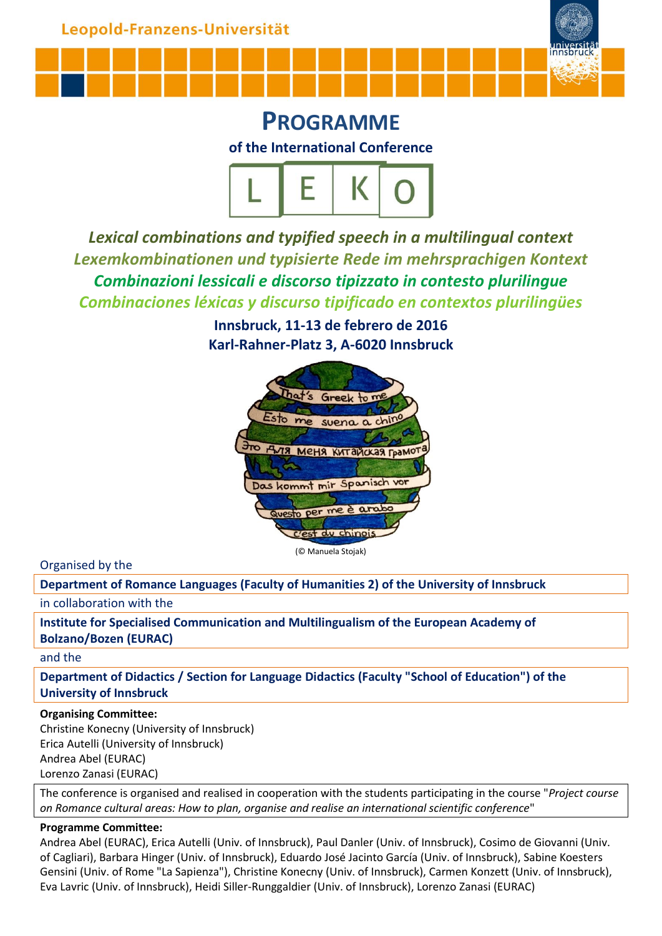

**PROGRAMME of the International Conference**



*Lexical combinations and typified speech in a multilingual context Lexemkombinationen und typisierte Rede im mehrsprachigen Kontext Combinazioni lessicali e discorso tipizzato in contesto plurilingue Combinaciones léxicas y discurso tipificado en contextos plurilingües*

> **Innsbruck, 11-13 de febrero de 2016 Karl-Rahner-Platz 3, A-6020 Innsbruck**



Organised by the

**Department of Romance Languages (Faculty of Humanities 2) of the University of Innsbruck**

in collaboration with the

**Institute for Specialised Communication and Multilingualism of the European Academy of Bolzano/Bozen (EURAC)**

and the

**Department of Didactics / Section for Language Didactics (Faculty "School of Education") of the University of Innsbruck**

## **Organising Committee:**

Christine Konecny (University of Innsbruck) Erica Autelli (University of Innsbruck) Andrea Abel (EURAC) Lorenzo Zanasi (EURAC)

The conference is organised and realised in cooperation with the students participating in the course "*Project course on Romance cultural areas: How to plan, organise and realise an international scientific conference*"

## **Programme Committee:**

Andrea Abel (EURAC), Erica Autelli (Univ. of Innsbruck), Paul Danler (Univ. of Innsbruck), Cosimo de Giovanni (Univ. of Cagliari), Barbara Hinger (Univ. of Innsbruck), Eduardo José Jacinto García (Univ. of Innsbruck), Sabine Koesters Gensini (Univ. of Rome "La Sapienza"), Christine Konecny (Univ. of Innsbruck), Carmen Konzett (Univ. of Innsbruck), Eva Lavric (Univ. of Innsbruck), Heidi Siller-Runggaldier (Univ. of Innsbruck), Lorenzo Zanasi (EURAC)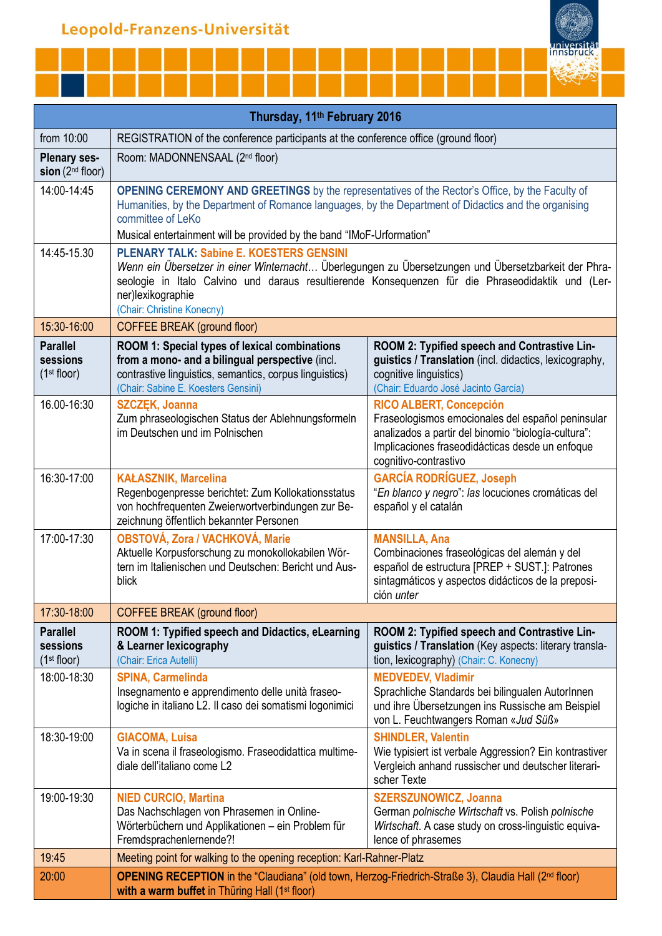|  |  | universität |
|--|--|-------------|
|  |  |             |
|  |  |             |
|  |  |             |
|  |  |             |

| Thursday, 11 <sup>th</sup> February 2016                              |                                                                                                                                                                                                                                                                                                                 |                                                                                                                                                                                                            |  |
|-----------------------------------------------------------------------|-----------------------------------------------------------------------------------------------------------------------------------------------------------------------------------------------------------------------------------------------------------------------------------------------------------------|------------------------------------------------------------------------------------------------------------------------------------------------------------------------------------------------------------|--|
| from 10:00                                                            | REGISTRATION of the conference participants at the conference office (ground floor)                                                                                                                                                                                                                             |                                                                                                                                                                                                            |  |
| <b>Plenary ses-</b><br>sion $(2nd floor)$                             | Room: MADONNENSAAL (2 <sup>nd</sup> floor)                                                                                                                                                                                                                                                                      |                                                                                                                                                                                                            |  |
| 14:00-14:45                                                           | OPENING CEREMONY AND GREETINGS by the representatives of the Rector's Office, by the Faculty of<br>Humanities, by the Department of Romance languages, by the Department of Didactics and the organising<br>committee of LeKo                                                                                   |                                                                                                                                                                                                            |  |
|                                                                       | Musical entertainment will be provided by the band "IMoF-Urformation"                                                                                                                                                                                                                                           |                                                                                                                                                                                                            |  |
| 14:45-15.30                                                           | <b>PLENARY TALK: Sabine E. KOESTERS GENSINI</b><br>Wenn ein Übersetzer in einer Winternacht Überlegungen zu Übersetzungen und Übersetzbarkeit der Phra-<br>seologie in Italo Calvino und daraus resultierende Konsequenzen für die Phraseodidaktik und (Ler-<br>ner)lexikographie<br>(Chair: Christine Konecny) |                                                                                                                                                                                                            |  |
| 15:30-16:00                                                           | <b>COFFEE BREAK (ground floor)</b>                                                                                                                                                                                                                                                                              |                                                                                                                                                                                                            |  |
| <b>Parallel</b><br>sessions<br>(1 <sup>st</sup> floor)<br>16.00-16:30 | ROOM 1: Special types of lexical combinations<br>from a mono- and a bilingual perspective (incl.<br>contrastive linguistics, semantics, corpus linguistics)<br>(Chair: Sabine E. Koesters Gensini)<br><b>SZCZEK, Joanna</b>                                                                                     | ROOM 2: Typified speech and Contrastive Lin-<br>guistics / Translation (incl. didactics, lexicography,<br>cognitive linguistics)<br>(Chair: Eduardo José Jacinto García)<br><b>RICO ALBERT, Concepción</b> |  |
|                                                                       | Zum phraseologischen Status der Ablehnungsformeln<br>im Deutschen und im Polnischen                                                                                                                                                                                                                             | Fraseologismos emocionales del español peninsular<br>analizados a partir del binomio "biología-cultura":<br>Implicaciones fraseodidácticas desde un enfoque<br>cognitivo-contrastivo                       |  |
| 16:30-17:00                                                           | <b>KAŁASZNIK, Marcelina</b><br>Regenbogenpresse berichtet: Zum Kollokationsstatus<br>von hochfrequenten Zweierwortverbindungen zur Be-<br>zeichnung öffentlich bekannter Personen                                                                                                                               | <b>GARCÍA RODRÍGUEZ, Joseph</b><br>"En blanco y negro": las locuciones cromáticas del<br>español y el catalán                                                                                              |  |
| 17:00-17:30                                                           | <b>OBSTOVÁ, Zora / VACHKOVÁ, Marie</b><br>Aktuelle Korpusforschung zu monokollokabilen Wör-<br>tern im Italienischen und Deutschen: Bericht und Aus-<br>blick                                                                                                                                                   | <b>MANSILLA, Ana</b><br>Combinaciones fraseológicas del alemán y del<br>español de estructura [PREP + SUST.]: Patrones<br>sintagmáticos y aspectos didácticos de la preposi-<br>ción <i>unter</i>          |  |
| 17:30-18:00                                                           | <b>COFFEE BREAK (ground floor)</b>                                                                                                                                                                                                                                                                              |                                                                                                                                                                                                            |  |
| <b>Parallel</b><br>sessions<br>(1 <sup>st</sup> floor)                | ROOM 1: Typified speech and Didactics, eLearning<br>& Learner lexicography<br>(Chair: Erica Autelli)                                                                                                                                                                                                            | ROOM 2: Typified speech and Contrastive Lin-<br>guistics / Translation (Key aspects: literary transla-<br>tion, lexicography) (Chair: C. Konecny)                                                          |  |
| 18:00-18:30                                                           | <b>SPINA, Carmelinda</b><br>Insegnamento e apprendimento delle unità fraseo-<br>logiche in italiano L2. Il caso dei somatismi logonimici                                                                                                                                                                        | <b>MEDVEDEV, Vladimir</b><br>Sprachliche Standards bei bilingualen AutorInnen<br>und ihre Übersetzungen ins Russische am Beispiel<br>von L. Feuchtwangers Roman «Jud Süß»                                  |  |
| 18:30-19:00                                                           | <b>GIACOMA, Luisa</b><br>Va in scena il fraseologismo. Fraseodidattica multime-<br>diale dell'italiano come L2                                                                                                                                                                                                  | <b>SHINDLER, Valentin</b><br>Wie typisiert ist verbale Aggression? Ein kontrastiver<br>Vergleich anhand russischer und deutscher literari-<br>scher Texte                                                  |  |
| 19:00-19:30                                                           | <b>NIED CURCIO, Martina</b><br>Das Nachschlagen von Phrasemen in Online-<br>Wörterbüchern und Applikationen - ein Problem für<br>Fremdsprachenlernende?!                                                                                                                                                        | <b>SZERSZUNOWICZ, Joanna</b><br>German polnische Wirtschaft vs. Polish polnische<br>Wirtschaft. A case study on cross-linguistic equiva-<br>lence of phrasemes                                             |  |
| 19:45                                                                 | Meeting point for walking to the opening reception: Karl-Rahner-Platz                                                                                                                                                                                                                                           |                                                                                                                                                                                                            |  |
| 20:00                                                                 | OPENING RECEPTION in the "Claudiana" (old town, Herzog-Friedrich-Straße 3), Claudia Hall (2nd floor)<br>with a warm buffet in Thüring Hall (1 <sup>st</sup> floor)                                                                                                                                              |                                                                                                                                                                                                            |  |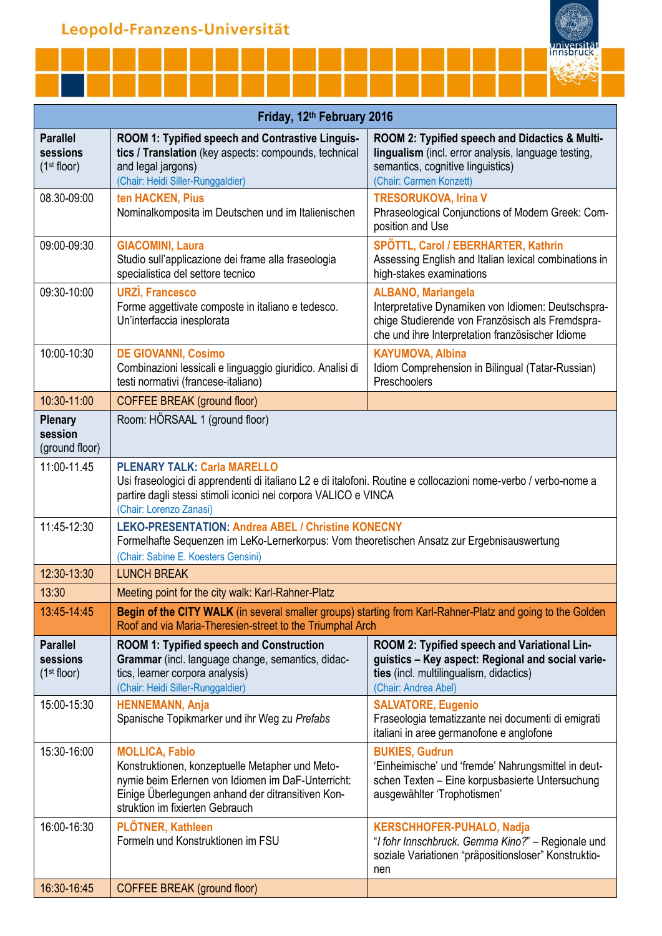|  |  | universität<br>Innsbruck |
|--|--|--------------------------|
|  |  |                          |
|  |  |                          |
|  |  |                          |

Π

| Friday, 12th February 2016                             |                                                                                                                                                                                                                                                     |                                                                                                                                                                                         |  |
|--------------------------------------------------------|-----------------------------------------------------------------------------------------------------------------------------------------------------------------------------------------------------------------------------------------------------|-----------------------------------------------------------------------------------------------------------------------------------------------------------------------------------------|--|
| <b>Parallel</b><br>sessions<br>(1 <sup>st</sup> floor) | ROOM 1: Typified speech and Contrastive Linguis-<br>tics / Translation (key aspects: compounds, technical<br>and legal jargons)<br>(Chair: Heidi Siller-Runggaldier)                                                                                | ROOM 2: Typified speech and Didactics & Multi-<br>lingualism (incl. error analysis, language testing,<br>semantics, cognitive linguistics)<br>(Chair: Carmen Konzett)                   |  |
| 08.30-09:00                                            | ten HACKEN, Pius<br>Nominalkomposita im Deutschen und im Italienischen                                                                                                                                                                              | <b>TRESORUKOVA, Irina V</b><br>Phraseological Conjunctions of Modern Greek: Com-<br>position and Use                                                                                    |  |
| 09:00-09:30                                            | <b>GIACOMINI, Laura</b><br>Studio sull'applicazione dei frame alla fraseologia<br>specialistica del settore tecnico                                                                                                                                 | SPÖTTL, Carol / EBERHARTER, Kathrin<br>Assessing English and Italian lexical combinations in<br>high-stakes examinations                                                                |  |
| 09:30-10:00                                            | <b>URZI, Francesco</b><br>Forme aggettivate composte in italiano e tedesco.<br>Un'interfaccia inesplorata                                                                                                                                           | <b>ALBANO, Mariangela</b><br>Interpretative Dynamiken von Idiomen: Deutschspra-<br>chige Studierende von Französisch als Fremdspra-<br>che und ihre Interpretation französischer Idiome |  |
| 10:00-10:30                                            | <b>DE GIOVANNI, Cosimo</b><br>Combinazioni lessicali e linguaggio giuridico. Analisi di<br>testi normativi (francese-italiano)                                                                                                                      | <b>KAYUMOVA, Albina</b><br>Idiom Comprehension in Bilingual (Tatar-Russian)<br>Preschoolers                                                                                             |  |
| 10:30-11:00                                            | <b>COFFEE BREAK (ground floor)</b>                                                                                                                                                                                                                  |                                                                                                                                                                                         |  |
| <b>Plenary</b><br>session<br>(ground floor)            | Room: HÖRSAAL 1 (ground floor)                                                                                                                                                                                                                      |                                                                                                                                                                                         |  |
| 11:00-11.45                                            | <b>PLENARY TALK: Carla MARELLO</b><br>Usi fraseologici di apprendenti di italiano L2 e di italofoni. Routine e collocazioni nome-verbo / verbo-nome a<br>partire dagli stessi stimoli iconici nei corpora VALICO e VINCA<br>(Chair: Lorenzo Zanasi) |                                                                                                                                                                                         |  |
| 11:45-12:30                                            | <b>LEKO-PRESENTATION: Andrea ABEL / Christine KONECNY</b><br>Formelhafte Sequenzen im LeKo-Lernerkorpus: Vom theoretischen Ansatz zur Ergebnisauswertung<br>(Chair: Sabine E. Koesters Gensini)                                                     |                                                                                                                                                                                         |  |
| 12:30-13:30                                            | <b>LUNCH BREAK</b>                                                                                                                                                                                                                                  |                                                                                                                                                                                         |  |
| 13:30                                                  | Meeting point for the city walk: Karl-Rahner-Platz                                                                                                                                                                                                  |                                                                                                                                                                                         |  |
| 13:45-14:45                                            | Begin of the CITY WALK (in several smaller groups) starting from Karl-Rahner-Platz and going to the Golden<br>Roof and via Maria-Theresien-street to the Triumphal Arch                                                                             |                                                                                                                                                                                         |  |
| <b>Parallel</b><br>sessions<br>(1 <sup>st</sup> floor) | <b>ROOM 1: Typified speech and Construction</b><br>Grammar (incl. language change, semantics, didac-<br>tics, learner corpora analysis)<br>(Chair: Heidi Siller-Runggaldier)                                                                        | ROOM 2: Typified speech and Variational Lin-<br>guistics - Key aspect: Regional and social varie-<br>ties (incl. multilingualism, didactics)<br>(Chair: Andrea Abel)                    |  |
| 15:00-15:30                                            | <b>HENNEMANN, Anja</b><br>Spanische Topikmarker und ihr Weg zu Prefabs                                                                                                                                                                              | <b>SALVATORE, Eugenio</b><br>Fraseologia tematizzante nei documenti di emigrati<br>italiani in aree germanofone e anglofone                                                             |  |
| 15:30-16:00                                            | <b>MOLLICA, Fabio</b><br>Konstruktionen, konzeptuelle Metapher und Meto-<br>nymie beim Erlernen von Idiomen im DaF-Unterricht:<br>Einige Überlegungen anhand der ditransitiven Kon-<br>struktion im fixierten Gebrauch                              | <b>BUKIES, Gudrun</b><br>'Einheimische' und 'fremde' Nahrungsmittel in deut-<br>schen Texten - Eine korpusbasierte Untersuchung<br>ausgewählter 'Trophotismen'                          |  |
| 16:00-16:30                                            | PLÖTNER, Kathleen<br>Formeln und Konstruktionen im FSU                                                                                                                                                                                              | <b>KERSCHHOFER-PUHALO, Nadja</b><br>"I fohr Innschbruck. Gemma Kino?" - Regionale und<br>soziale Variationen "präpositionsloser" Konstruktio-<br>nen                                    |  |
| 16:30-16:45                                            | COFFEE BREAK (ground floor)                                                                                                                                                                                                                         |                                                                                                                                                                                         |  |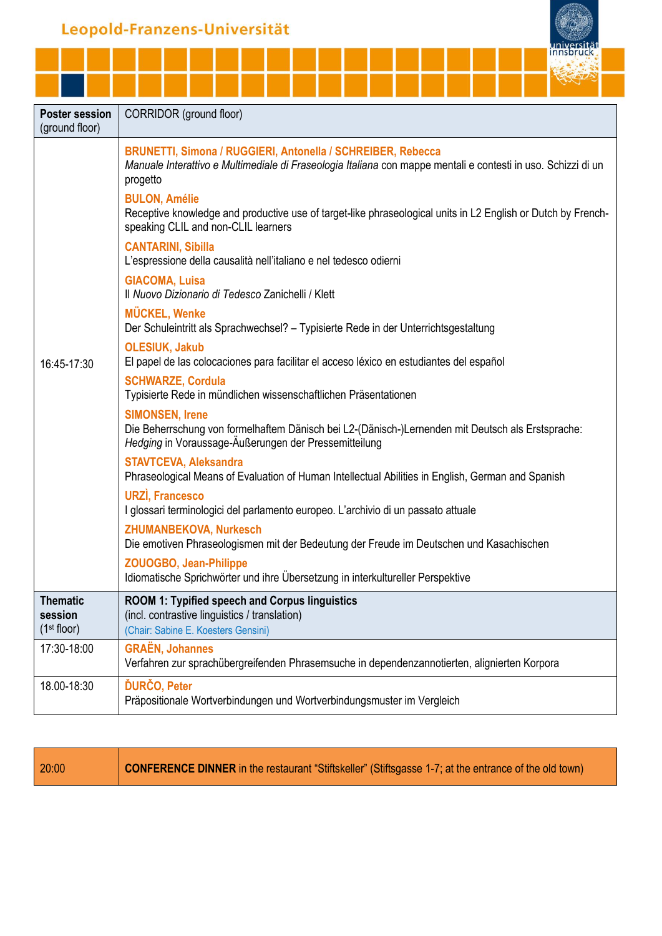

| <b>Poster session</b><br>(ground floor)        | CORRIDOR (ground floor)                                                                                                                                                                  |
|------------------------------------------------|------------------------------------------------------------------------------------------------------------------------------------------------------------------------------------------|
|                                                | BRUNETTI, Simona / RUGGIERI, Antonella / SCHREIBER, Rebecca<br>Manuale Interattivo e Multimediale di Fraseologia Italiana con mappe mentali e contesti in uso. Schizzi di un<br>progetto |
|                                                | <b>BULON, Amélie</b><br>Receptive knowledge and productive use of target-like phraseological units in L2 English or Dutch by French-<br>speaking CLIL and non-CLIL learners              |
|                                                | <b>CANTARINI, Sibilla</b><br>L'espressione della causalità nell'italiano e nel tedesco odierni                                                                                           |
|                                                | <b>GIACOMA, Luisa</b><br>Il Nuovo Dizionario di Tedesco Zanichelli / Klett                                                                                                               |
|                                                | <b>MÜCKEL, Wenke</b><br>Der Schuleintritt als Sprachwechsel? - Typisierte Rede in der Unterrichtsgestaltung                                                                              |
| 16:45-17:30                                    | <b>OLESIUK, Jakub</b><br>El papel de las colocaciones para facilitar el acceso léxico en estudiantes del español                                                                         |
|                                                | <b>SCHWARZE, Cordula</b><br>Typisierte Rede in mündlichen wissenschaftlichen Präsentationen                                                                                              |
|                                                | <b>SIMONSEN, Irene</b><br>Die Beherrschung von formelhaftem Dänisch bei L2-(Dänisch-)Lernenden mit Deutsch als Erstsprache:<br>Hedging in Voraussage-Äußerungen der Pressemitteilung     |
|                                                | <b>STAVTCEVA, Aleksandra</b><br>Phraseological Means of Evaluation of Human Intellectual Abilities in English, German and Spanish                                                        |
|                                                | <b>URZI, Francesco</b><br>I glossari terminologici del parlamento europeo. L'archivio di un passato attuale                                                                              |
|                                                | <b>ZHUMANBEKOVA, Nurkesch</b><br>Die emotiven Phraseologismen mit der Bedeutung der Freude im Deutschen und Kasachischen                                                                 |
|                                                | <b>ZOUOGBO, Jean-Philippe</b><br>Idiomatische Sprichwörter und ihre Übersetzung in interkultureller Perspektive                                                                          |
| Thematic<br>session<br>(1 <sup>st</sup> floor) | <b>ROOM 1: Typified speech and Corpus linguistics</b><br>(incl. contrastive linguistics / translation)<br>(Chair: Sabine E. Koesters Gensini)                                            |
| 17:30-18:00                                    | <b>GRAËN, Johannes</b><br>Verfahren zur sprachübergreifenden Phrasemsuche in dependenzannotierten, alignierten Korpora                                                                   |
| 18.00-18:30                                    | <b>ĎURČO, Peter</b><br>Präpositionale Wortverbindungen und Wortverbindungsmuster im Vergleich                                                                                            |

20:00 **CONFERENCE DINNER** in the restaurant "Stiftskeller" (Stiftsgasse 1-7; at the entrance of the old town)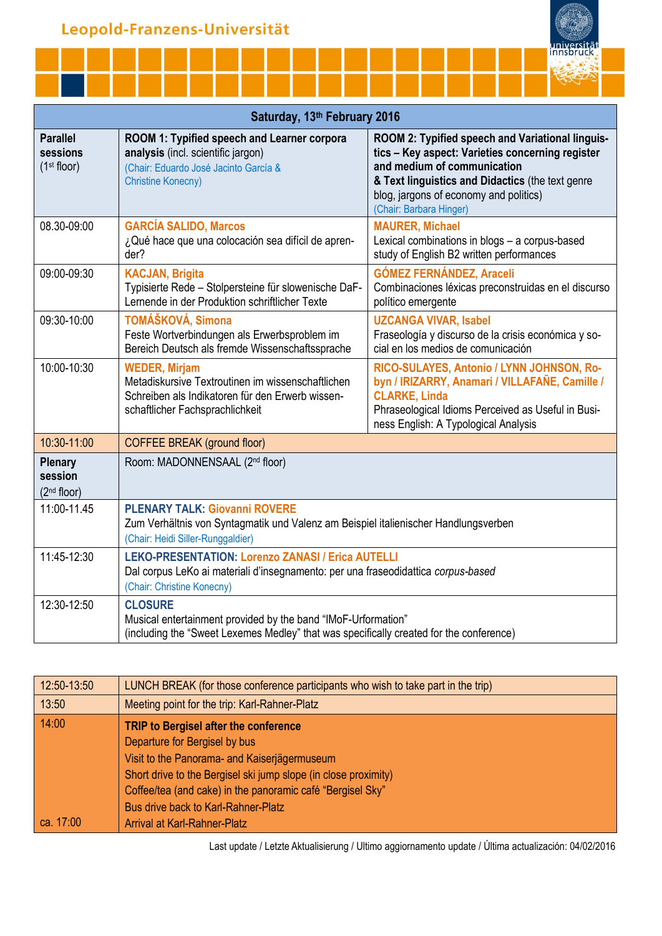| Saturday, 13th February 2016                           |                                                                                                                                                                             |                                                                                                                                                                                                                                                              |  |
|--------------------------------------------------------|-----------------------------------------------------------------------------------------------------------------------------------------------------------------------------|--------------------------------------------------------------------------------------------------------------------------------------------------------------------------------------------------------------------------------------------------------------|--|
| <b>Parallel</b><br>sessions<br>(1 <sup>st</sup> floor) | ROOM 1: Typified speech and Learner corpora<br>analysis (incl. scientific jargon)<br>(Chair: Eduardo José Jacinto García &<br><b>Christine Konecny)</b>                     | ROOM 2: Typified speech and Variational linguis-<br>tics - Key aspect: Varieties concerning register<br>and medium of communication<br>& Text linguistics and Didactics (the text genre<br>blog, jargons of economy and politics)<br>(Chair: Barbara Hinger) |  |
| 08.30-09:00                                            | <b>GARCÍA SALIDO, Marcos</b><br>¿Qué hace que una colocación sea difícil de apren-<br>der?                                                                                  | <b>MAURER, Michael</b><br>Lexical combinations in blogs - a corpus-based<br>study of English B2 written performances                                                                                                                                         |  |
| 09:00-09:30                                            | <b>KACJAN, Brigita</b><br>Typisierte Rede - Stolpersteine für slowenische DaF-<br>Lernende in der Produktion schriftlicher Texte                                            | <b>GÓMEZ FERNÁNDEZ, Araceli</b><br>Combinaciones léxicas preconstruidas en el discurso<br>político emergente                                                                                                                                                 |  |
| 09:30-10:00                                            | TOMÁŠKOVÁ, Simona<br>Feste Wortverbindungen als Erwerbsproblem im<br>Bereich Deutsch als fremde Wissenschaftssprache                                                        | <b>UZCANGA VIVAR, Isabel</b><br>Fraseología y discurso de la crisis económica y so-<br>cial en los medios de comunicación                                                                                                                                    |  |
| 10:00-10:30                                            | <b>WEDER, Mirjam</b><br>Metadiskursive Textroutinen im wissenschaftlichen<br>Schreiben als Indikatoren für den Erwerb wissen-<br>schaftlicher Fachsprachlichkeit            | RICO-SULAYES, Antonio / LYNN JOHNSON, Ro-<br>byn / IRIZARRY, Anamari / VILLAFAÑE, Camille /<br><b>CLARKE, Linda</b><br>Phraseological Idioms Perceived as Useful in Busi-<br>ness English: A Typological Analysis                                            |  |
| 10:30-11:00                                            | <b>COFFEE BREAK (ground floor)</b>                                                                                                                                          |                                                                                                                                                                                                                                                              |  |
| <b>Plenary</b><br>session<br>(2 <sup>nd</sup> floor)   | Room: MADONNENSAAL (2 <sup>nd</sup> floor)                                                                                                                                  |                                                                                                                                                                                                                                                              |  |
| 11:00-11.45                                            | <b>PLENARY TALK: Giovanni ROVERE</b><br>Zum Verhältnis von Syntagmatik und Valenz am Beispiel italienischer Handlungsverben<br>(Chair: Heidi Siller-Runggaldier)            |                                                                                                                                                                                                                                                              |  |
| 11:45-12:30                                            | <b>LEKO-PRESENTATION: Lorenzo ZANASI / Erica AUTELLI</b><br>Dal corpus LeKo ai materiali d'insegnamento: per una fraseodidattica corpus-based<br>(Chair: Christine Konecny) |                                                                                                                                                                                                                                                              |  |
| 12:30-12:50                                            | <b>CLOSURE</b><br>Musical entertainment provided by the band "IMoF-Urformation"<br>(including the "Sweet Lexemes Medley" that was specifically created for the conference)  |                                                                                                                                                                                                                                                              |  |

innsl

| $12:50-13:50$ | LUNCH BREAK (for those conference participants who wish to take part in the trip) |
|---------------|-----------------------------------------------------------------------------------|
| 13:50         | Meeting point for the trip: Karl-Rahner-Platz                                     |
| 14:00         | TRIP to Bergisel after the conference                                             |
|               | Departure for Bergisel by bus                                                     |
|               | Visit to the Panorama- and Kaiserjägermuseum                                      |
|               | Short drive to the Bergisel ski jump slope (in close proximity)                   |
|               | Coffee/tea (and cake) in the panoramic café "Bergisel Sky"                        |
|               | <b>Bus drive back to Karl-Rahner-Platz</b>                                        |
| ca. 17:00     | <b>Arrival at Karl-Rahner-Platz</b>                                               |

Last update / Letzte Aktualisierung / Ultimo aggiornamento update / Última actualización: 04/02/2016